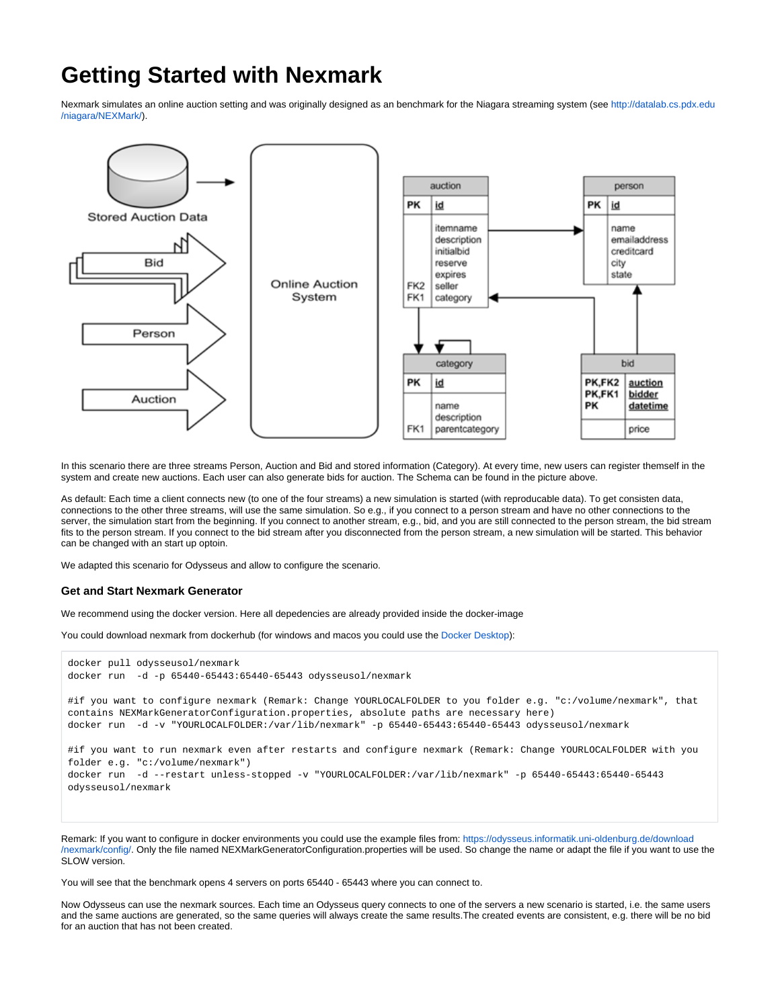# **Getting Started with Nexmark**

Nexmark simulates an online auction setting and was originally designed as an benchmark for the Niagara streaming system (see [http://datalab.cs.pdx.edu](http://datalab.cs.pdx.edu/niagara/NEXMark/) [/niagara/NEXMark/](http://datalab.cs.pdx.edu/niagara/NEXMark/)).



In this scenario there are three streams Person, Auction and Bid and stored information (Category). At every time, new users can register themself in the system and create new auctions. Each user can also generate bids for auction. The Schema can be found in the picture above.

As default: Each time a client connects new (to one of the four streams) a new simulation is started (with reproducable data). To get consisten data, connections to the other three streams, will use the same simulation. So e.g., if you connect to a person stream and have no other connections to the server, the simulation start from the beginning. If you connect to another stream, e.g., bid, and you are still connected to the person stream, the bid stream fits to the person stream. If you connect to the bid stream after you disconnected from the person stream, a new simulation will be started. This behavior can be changed with an start up optoin.

We adapted this scenario for Odysseus and allow to configure the scenario.

### **Get and Start Nexmark Generator**

We recommend using the docker version. Here all depedencies are already provided inside the docker-image

You could download nexmark from dockerhub (for windows and macos you could use the [Docker Desktop\)](https://www.docker.com/products/docker-desktop):

```
docker pull odysseusol/nexmark
docker run -d -p 65440-65443:65440-65443 odysseusol/nexmark
#if you want to configure nexmark (Remark: Change YOURLOCALFOLDER to you folder e.g. "c:/volume/nexmark", that 
contains NEXMarkGeneratorConfiguration.properties, absolute paths are necessary here)
docker run -d -v "YOURLOCALFOLDER:/var/lib/nexmark" -p 65440-65443:65440-65443 odysseusol/nexmark
#if you want to run nexmark even after restarts and configure nexmark (Remark: Change YOURLOCALFOLDER with you 
folder e.g. "c:/volume/nexmark")
docker run -d --restart unless-stopped -v "YOURLOCALFOLDER:/var/lib/nexmark" -p 65440-65443:65440-65443 
odysseusol/nexmark
```
Remark: If you want to configure in docker environments you could use the example files from: [https://odysseus.informatik.uni-oldenburg.de/download](https://odysseus.informatik.uni-oldenburg.de/download/nexmark/config/) [/nexmark/config/](https://odysseus.informatik.uni-oldenburg.de/download/nexmark/config/). Only the file named NEXMarkGeneratorConfiguration.properties will be used. So change the name or adapt the file if you want to use the SLOW version.

You will see that the benchmark opens 4 servers on ports 65440 - 65443 where you can connect to.

Now Odysseus can use the nexmark sources. Each time an Odysseus query connects to one of the servers a new scenario is started, i.e. the same users and the same auctions are generated, so the same queries will always create the same results.The created events are consistent, e.g. there will be no bid for an auction that has not been created.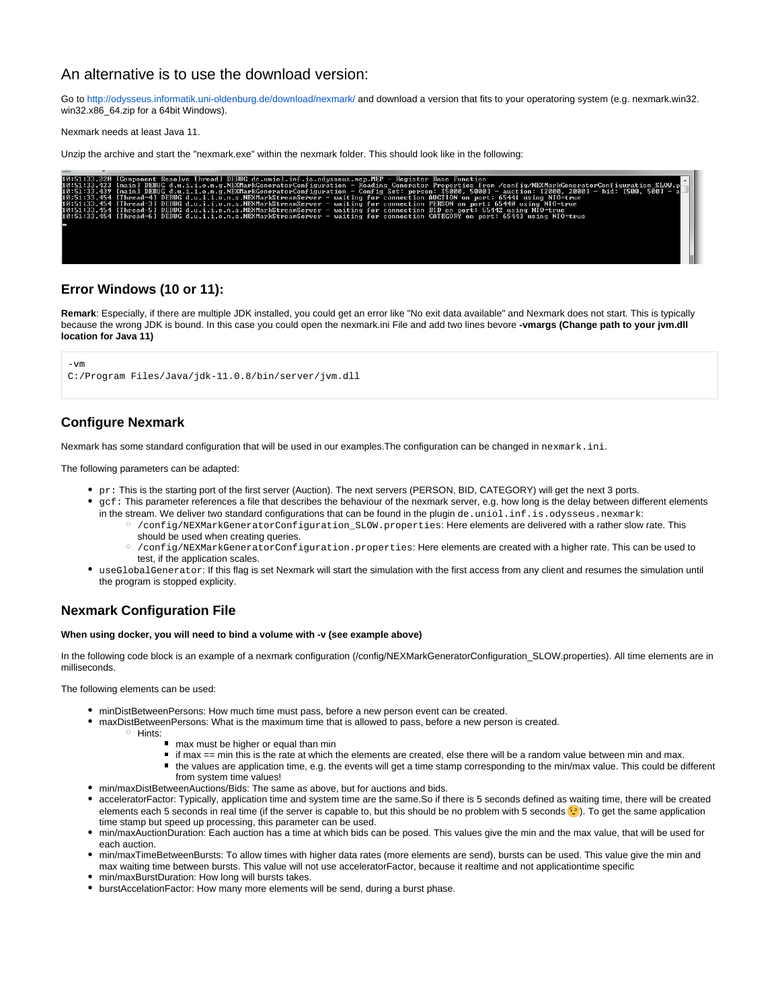# An alternative is to use the download version:

Go to<http://odysseus.informatik.uni-oldenburg.de/download/nexmark/>and download a version that fits to your operatoring system (e.g. nexmark.win32. win32.x86\_64.zip for a 64bit Windows).

Nexmark needs at least Java 11.

Unzip the archive and start the "nexmark.exe" within the nexmark folder. This should look like in the following:

|  | 10:51:33.220 [Component Resolve Thread] DEBUG de.uniol.inf.is.odysseus.mep.MEP - Register Base Function                                                |
|--|--------------------------------------------------------------------------------------------------------------------------------------------------------|
|  | 10:51:33.423 [main] DEBUG d.u.i.i.o.n.g.NEXMarkGeneratorConfiguration - Reading Generator Properties from /config/NEXMarkGeneratorConfiguration_SLOW.p |
|  | 10:51:33.439 [main] DEBUG d.u.i.i.o.n.g.NEXMarkGeneratorConfiguration - Config Set: person: [5000, 5000] - auction: [2000, 2000] - bid: [500, 500] -   |
|  | 10:51:33.454 [Thread-4] DEBUG d.u.i.i.o.n.s.NEXMarkStreamServer - waiting for connection AUCTION on port: 65441 using NIO=true                         |
|  | 10:51:33.454 [Thread-3] DEBUG d.u.i.i.o.n.s.NEXMarkStreamServer - waiting for connection PERSON on port: 65440 using NIO=true                          |
|  | 10:51:33.454 [Thread-5] DEBUG d.u.i.i.o.n.s.NEXMarkStreamServer - waiting for connection BID on port: 65442 using NIO=true                             |
|  | 10:51:33.454 [Thread-6] DEBUG d.u.i.i.o.n.s.NEXMarkStreamServer - waiting for connection CATEGORY on port: 65443 using NIO=true                        |
|  |                                                                                                                                                        |
|  |                                                                                                                                                        |
|  |                                                                                                                                                        |
|  |                                                                                                                                                        |
|  |                                                                                                                                                        |
|  |                                                                                                                                                        |
|  |                                                                                                                                                        |
|  |                                                                                                                                                        |

## **Error Windows (10 or 11):**

Remark: Especially, if there are multiple JDK installed, you could get an error like "No exit data available" and Nexmark does not start. This is typically because the wrong JDK is bound. In this case you could open the nexmark.ini File and add two lines bevore **-vmargs (Change path to your jvm.dll location for Java 11)**

```
-<sub>ym</sub>C:/Program Files/Java/jdk-11.0.8/bin/server/jvm.dll
```
## **Configure Nexmark**

Nexmark has some standard configuration that will be used in our examples. The configuration can be changed in nexmark. ini.

The following parameters can be adapted:

- pr: This is the starting port of the first server (Auction). The next servers (PERSON, BID, CATEGORY) will get the next 3 ports.
- $\bullet$   $_{\text{qcf}}$ : This parameter references a file that describes the behaviour of the nexmark server, e.g. how long is the delay between different elements in the stream. We deliver two standard configurations that can be found in the plugin  $de.$ uniol.inf.is.odysseus.nexmark:
	- /config/NEXMarkGeneratorConfiguration\_SLOW.properties: Here elements are delivered with a rather slow rate. This should be used when creating queries.
	- /config/NEXMarkGeneratorConfiguration.properties: Here elements are created with a higher rate. This can be used to test, if the application scales.
- useGlobalGenerator: If this flag is set Nexmark will start the simulation with the first access from any client and resumes the simulation until the program is stopped explicity.

## **Nexmark Configuration File**

#### **When using docker, you will need to bind a volume with -v (see example above)**

In the following code block is an example of a nexmark configuration (/config/NEXMarkGeneratorConfiguration\_SLOW.properties). All time elements are in milliseconds.

The following elements can be used:

- minDistBetweenPersons: How much time must pass, before a new person event can be created.
- maxDistBetweenPersons: What is the maximum time that is allowed to pass, before a new person is created.
	- Hints:
		- max must be higher or equal than min
		- if max == min this is the rate at which the elements are created, else there will be a random value between min and max.
		- the values are application time, e.g. the events will get a time stamp corresponding to the min/max value. This could be different from system time values!
- min/maxDistBetweenAuctions/Bids: The same as above, but for auctions and bids.
- acceleratorFactor: Typically, application time and system time are the same.So if there is 5 seconds defined as waiting time, there will be created elements each 5 seconds in real time (if the server is capable to, but this should be no problem with 5 seconds (c). To get the same application time stamp but speed up processing, this parameter can be used.
- min/maxAuctionDuration: Each auction has a time at which bids can be posed. This values give the min and the max value, that will be used for each auction.
- min/maxTimeBetweenBursts: To allow times with higher data rates (more elements are send), bursts can be used. This value give the min and max waiting time between bursts. This value will not use acceleratorFactor, because it realtime and not applicationtime specific
- min/maxBurstDuration: How long will bursts takes.
- burstAccelationFactor: How many more elements will be send, during a burst phase.